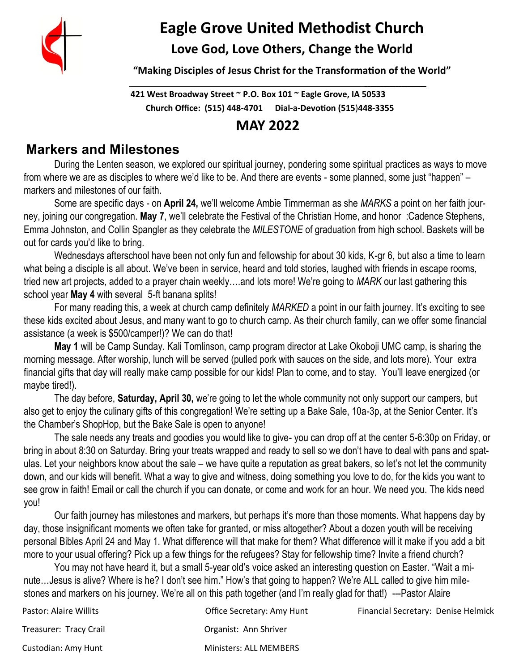

# **Eagle Grove United Methodist Church**

**Love God, Love Others, Change the World**

**"Making Disciples of Jesus Christ for the Transformation of the World"**

**421 West Broadway Street ~ P.O. Box 101 ~ Eagle Grove, IA 50533 Church Office: (515) 448-4701 Dial-a-Devotion (515**)**448-3355**

 **\_\_\_\_\_\_\_\_\_\_\_\_\_\_\_\_\_\_\_\_** 

## **MAY 2022**

## **Markers and Milestones**

During the Lenten season, we explored our spiritual journey, pondering some spiritual practices as ways to move from where we are as disciples to where we'd like to be. And there are events - some planned, some just "happen" – markers and milestones of our faith.

Some are specific days - on **April 24,** we'll welcome Ambie Timmerman as she *MARKS* a point on her faith journey, joining our congregation. **May 7**, we'll celebrate the Festival of the Christian Home, and honor :Cadence Stephens, Emma Johnston, and Collin Spangler as they celebrate the *MILESTONE* of graduation from high school. Baskets will be out for cards you'd like to bring.

Wednesdays afterschool have been not only fun and fellowship for about 30 kids, K-gr 6, but also a time to learn what being a disciple is all about. We've been in service, heard and told stories, laughed with friends in escape rooms, tried new art projects, added to a prayer chain weekly….and lots more! We're going to *MARK* our last gathering this school year **May 4** with several 5-ft banana splits!

For many reading this, a week at church camp definitely *MARKED* a point in our faith journey. It's exciting to see these kids excited about Jesus, and many want to go to church camp. As their church family, can we offer some financial assistance (a week is \$500/camper!)? We can do that!

**May 1** will be Camp Sunday. Kali Tomlinson, camp program director at Lake Okoboji UMC camp, is sharing the morning message. After worship, lunch will be served (pulled pork with sauces on the side, and lots more). Your extra financial gifts that day will really make camp possible for our kids! Plan to come, and to stay. You'll leave energized (or maybe tired!).

The day before, **Saturday, April 30,** we're going to let the whole community not only support our campers, but also get to enjoy the culinary gifts of this congregation! We're setting up a Bake Sale, 10a-3p, at the Senior Center. It's the Chamber's ShopHop, but the Bake Sale is open to anyone!

The sale needs any treats and goodies you would like to give- you can drop off at the center 5-6:30p on Friday, or bring in about 8:30 on Saturday. Bring your treats wrapped and ready to sell so we don't have to deal with pans and spatulas. Let your neighbors know about the sale – we have quite a reputation as great bakers, so let's not let the community down, and our kids will benefit. What a way to give and witness, doing something you love to do, for the kids you want to see grow in faith! Email or call the church if you can donate, or come and work for an hour. We need you. The kids need you!

Our faith journey has milestones and markers, but perhaps it's more than those moments. What happens day by day, those insignificant moments we often take for granted, or miss altogether? About a dozen youth will be receiving personal Bibles April 24 and May 1. What difference will that make for them? What difference will it make if you add a bit more to your usual offering? Pick up a few things for the refugees? Stay for fellowship time? Invite a friend church?

You may not have heard it, but a small 5-year old's voice asked an interesting question on Easter. "Wait a minute…Jesus is alive? Where is he? I don't see him." How's that going to happen? We're ALL called to give him milestones and markers on his journey. We're all on this path together (and I'm really glad for that!) ---Pastor Alaire

| Pastor: Alaire Willits | Office Secretary: Amy Hunt    | Financial Secretary: Denise Helmick |
|------------------------|-------------------------------|-------------------------------------|
| Treasurer: Tracy Crail | Organist: Ann Shriver         |                                     |
| Custodian: Amy Hunt    | <b>Ministers: ALL MEMBERS</b> |                                     |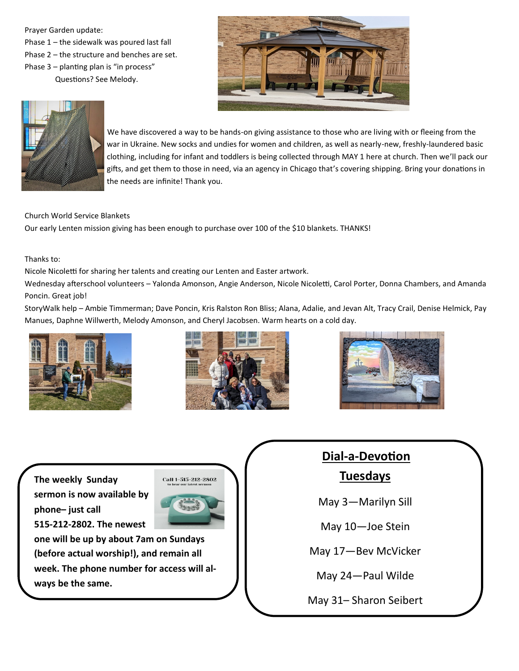Prayer Garden update: Phase 1 – the sidewalk was poured last fall Phase 2 – the structure and benches are set. Phase 3 – planting plan is "in process" Questions? See Melody.





 We have discovered a way to be hands-on giving assistance to those who are living with or fleeing from the war in Ukraine. New socks and undies for women and children, as well as nearly-new, freshly-laundered basic clothing, including for infant and toddlers is being collected through MAY 1 here at church. Then we'll pack our gifts, and get them to those in need, via an agency in Chicago that's covering shipping. Bring your donations in the needs are infinite! Thank you.

### Church World Service Blankets

Our early Lenten mission giving has been enough to purchase over 100 of the \$10 blankets. THANKS!

Thanks to:

Nicole Nicoletti for sharing her talents and creating our Lenten and Easter artwork.

Wednesday afterschool volunteers – Yalonda Amonson, Angie Anderson, Nicole Nicoletti, Carol Porter, Donna Chambers, and Amanda Poncin. Great job!

StoryWalk help – Ambie Timmerman; Dave Poncin, Kris Ralston Ron Bliss; Alana, Adalie, and Jevan Alt, Tracy Crail, Denise Helmick, Pay Manues, Daphne Willwerth, Melody Amonson, and Cheryl Jacobsen. Warm hearts on a cold day.







**The weekly Sunday sermon is now available by phone– just call 515-212-2802. The newest** 



**one will be up by about 7am on Sundays (before actual worship!), and remain all week. The phone number for access will always be the same.**

## **Dial-a-Devotion Tuesdays**

May 3—Marilyn Sill

May 10—Joe Stein

May 17—Bev McVicker

May 24—Paul Wilde

May 31– Sharon Seibert